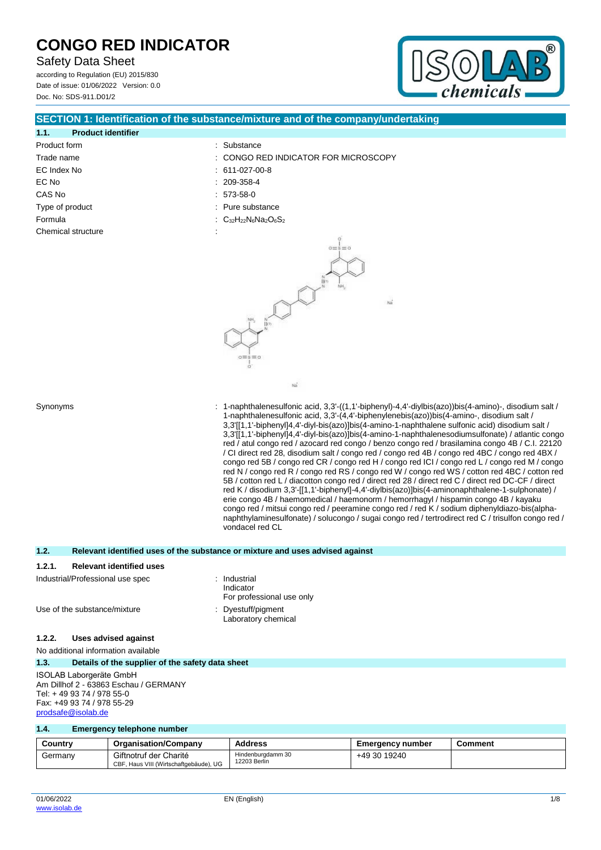Safety Data Sheet

according to Regulation (EU) 2015/830 Date of issue: 01/06/2022 Version: 0.0 Doc. No: SDS-911.D01/2



## **SECTION 1: Identification of the substance/mixture and of the company/undertaking**

| 1.1.               | <b>Product identifier</b> |  |                                                                                                |
|--------------------|---------------------------|--|------------------------------------------------------------------------------------------------|
| Product form       |                           |  | : Substance                                                                                    |
| Trade name         |                           |  | : CONGO RED INI                                                                                |
| EC Index No        |                           |  | $: 611-027-00-8$                                                                               |
| EC No              |                           |  | $: 209-358-4$                                                                                  |
| CAS No             |                           |  | $: 573-58-0$                                                                                   |
| Type of product    |                           |  | $:$ Pure substance                                                                             |
| Formula            |                           |  | : C <sub>32</sub> H <sub>22</sub> N <sub>6</sub> Na <sub>2</sub> O <sub>6</sub> S <sub>2</sub> |
| Chemical structure |                           |  |                                                                                                |
|                    |                           |  |                                                                                                |

| 209-358-4                   |  |
|-----------------------------|--|
| 573-58-0                    |  |
| Pure substance              |  |
| $C_{32}H_{22}N_6Na_2O_6S_2$ |  |
|                             |  |
|                             |  |



 $\overline{\mathbf{a}}$ 

: CONGO RED INDICATOR FOR MICROSCOPY

Synonyms : 1-naphthalenesulfonic acid, 3,3'-((1,1'-biphenyl)-4,4'-diylbis(azo))bis(4-amino)-, disodium salt / 1-naphthalenesulfonic acid, 3,3'-(4,4'-biphenylenebis(azo))bis(4-amino-, disodium salt / 3,3'[[1,1'-biphenyl]4,4'-diyl-bis(azo)]bis(4-amino-1-naphthalene sulfonic acid) disodium salt / 3,3'[[1,1'-biphenyl]4,4'-diyl-bis(azo)]bis(4-amino-1-naphthalenesodiumsulfonate) / atlantic congo red / atul congo red / azocard red congo / benzo congo red / brasilamina congo 4B / C.I. 22120 / CI direct red 28, disodium salt / congo red / congo red 4B / congo red 4BC / congo red 4BX / congo red 5B / congo red CR / congo red H / congo red ICI / congo red L / congo red M / congo red N / congo red R / congo red RS / congo red W / congo red WS / cotton red 4BC / cotton red 5B / cotton red L / diacotton congo red / direct red 28 / direct red C / direct red DC-CF / direct red K / disodium 3,3'-[[1,1'-biphenyl]-4,4'-diylbis(azo)]bis(4-aminonaphthalene-1-sulphonate) / erie congo 4B / haemomedical / haemonorm / hemorrhagyl / hispamin congo 4B / kayaku congo red / mitsui congo red / peeramine congo red / red K / sodium diphenyldiazo-bis(alphanaphthylaminesulfonate) / solucongo / sugai congo red / tertrodirect red C / trisulfon congo red / vondacel red CL

## **1.2. Relevant identified uses of the substance or mixture and uses advised against**

#### **1.2.1. Relevant identified uses**

| Industrial/Professional use spec | : Industrial<br>Indicator<br>For professional use only |
|----------------------------------|--------------------------------------------------------|
| Use of the substance/mixture     | : Dyestuff/pigment<br>Laboratory chemical              |

### **1.2.2. Uses advised against**

## No additional information available

#### **1.3. Details of the supplier of the safety data sheet**

ISOLAB Laborgeräte GmbH Am Dillhof 2 - 63863 Eschau / GERMANY Tel: + 49 93 74 / 978 55-0 Fax: +49 93 74 / 978 55-29 [prodsafe@isolab.de](mailto:prodsafe@isolab.de)

### **1.4. Emergency telephone number**

| Country | <b>Organisation/Company</b>                                      | <b>Address</b>                    | <b>Emergency number</b> | Comment |
|---------|------------------------------------------------------------------|-----------------------------------|-------------------------|---------|
| Germany | Giftnotruf der Charité<br>CBF, Haus VIII (Wirtschaftgebäude), UG | Hindenburadamm 30<br>12203 Berlin | +49 30 19240            |         |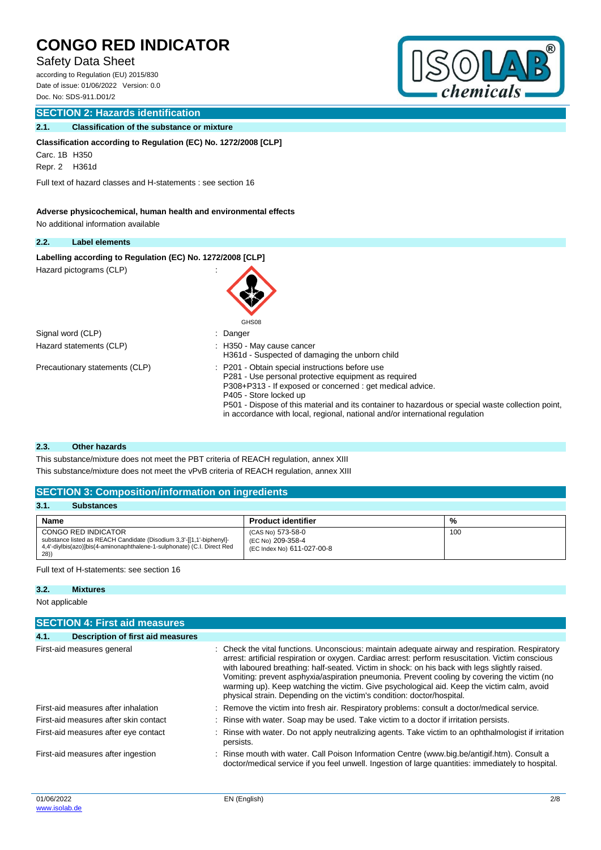## Safety Data Sheet

according to Regulation (EU) 2015/830 Date of issue: 01/06/2022 Version: 0.0 Doc. No: SDS-911.D01/2

## **SECTION 2: Hazards identification**

## **2.1. Classification of the substance or mixture**

**Classification according to Regulation (EC) No. 1272/2008 [CLP]**

Carc. 1B H350

Repr. 2 H361d

Full text of hazard classes and H-statements : see section 16

## **Adverse physicochemical, human health and environmental effects**

No additional information available

#### **2.2. Label elements**

Labelling according to Regulation (EC) No. 1272/2008 [CLP]

Hazard pictograms (CLP)



Signal word (CLP)  $\qquad \qquad$ : Danger

Precautionary statements (CLP) : P201 - Obtain special instructions before use

- Hazard statements (CLP)  $\qquad \qquad$ : H350 May cause cancer
	- H361d Suspected of damaging the unborn child
	- P281 Use personal protective equipment as required
	- P308+P313 If exposed or concerned : get medical advice.
	- P405 Store locked up

P501 - Dispose of this material and its container to hazardous or special waste collection point, in accordance with local, regional, national and/or international regulation

### **2.3. Other hazards**

This substance/mixture does not meet the PBT criteria of REACH regulation, annex XIII

This substance/mixture does not meet the vPvB criteria of REACH regulation, annex XIII

## **SECTION 3: Composition/information on ingredients**

| 3.1.<br><b>Substances</b>                                                                                                                                                      |                                                                      |     |  |  |
|--------------------------------------------------------------------------------------------------------------------------------------------------------------------------------|----------------------------------------------------------------------|-----|--|--|
| <b>Name</b>                                                                                                                                                                    | <b>Product identifier</b>                                            | %   |  |  |
| CONGO RED INDICATOR<br>substance listed as REACH Candidate (Disodium 3,3'-[[1,1'-biphenyl]-<br>4.4'-diylbis(azo)]bis(4-aminonaphthalene-1-sulphonate) (C.I. Direct Red<br>(28) | (CAS No) 573-58-0<br>(EC No) 209-358-4<br>(EC Index No) 611-027-00-8 | 100 |  |  |

### Full text of H-statements: see section 16

## **3.2. Mixtures**

Not applicable

|      | <b>SECTION 4: First aid measures</b>     |  |                                                                                                                                                                                                                                                                                                                                                                                                                                                                                                                                                                              |  |  |
|------|------------------------------------------|--|------------------------------------------------------------------------------------------------------------------------------------------------------------------------------------------------------------------------------------------------------------------------------------------------------------------------------------------------------------------------------------------------------------------------------------------------------------------------------------------------------------------------------------------------------------------------------|--|--|
| 4.1. | <b>Description of first aid measures</b> |  |                                                                                                                                                                                                                                                                                                                                                                                                                                                                                                                                                                              |  |  |
|      | First-aid measures general               |  | : Check the vital functions. Unconscious: maintain adequate airway and respiration. Respiratory<br>arrest: artificial respiration or oxygen. Cardiac arrest: perform resuscitation. Victim conscious<br>with laboured breathing: half-seated. Victim in shock: on his back with legs slightly raised.<br>Vomiting: prevent asphyxia/aspiration pneumonia. Prevent cooling by covering the victim (no<br>warming up). Keep watching the victim. Give psychological aid. Keep the victim calm, avoid<br>physical strain. Depending on the victim's condition: doctor/hospital. |  |  |
|      | First-aid measures after inhalation      |  | : Remove the victim into fresh air. Respiratory problems: consult a doctor/medical service.                                                                                                                                                                                                                                                                                                                                                                                                                                                                                  |  |  |
|      | First-aid measures after skin contact    |  | : Rinse with water. Soap may be used. Take victim to a doctor if irritation persists.                                                                                                                                                                                                                                                                                                                                                                                                                                                                                        |  |  |
|      | First-aid measures after eye contact     |  | Rinse with water. Do not apply neutralizing agents. Take victim to an ophthalmologist if irritation<br>persists.                                                                                                                                                                                                                                                                                                                                                                                                                                                             |  |  |
|      | First-aid measures after ingestion       |  | Rinse mouth with water. Call Poison Information Centre (www.big.be/antigif.htm). Consult a<br>doctor/medical service if you feel unwell. Ingestion of large quantities: immediately to hospital.                                                                                                                                                                                                                                                                                                                                                                             |  |  |
|      |                                          |  |                                                                                                                                                                                                                                                                                                                                                                                                                                                                                                                                                                              |  |  |

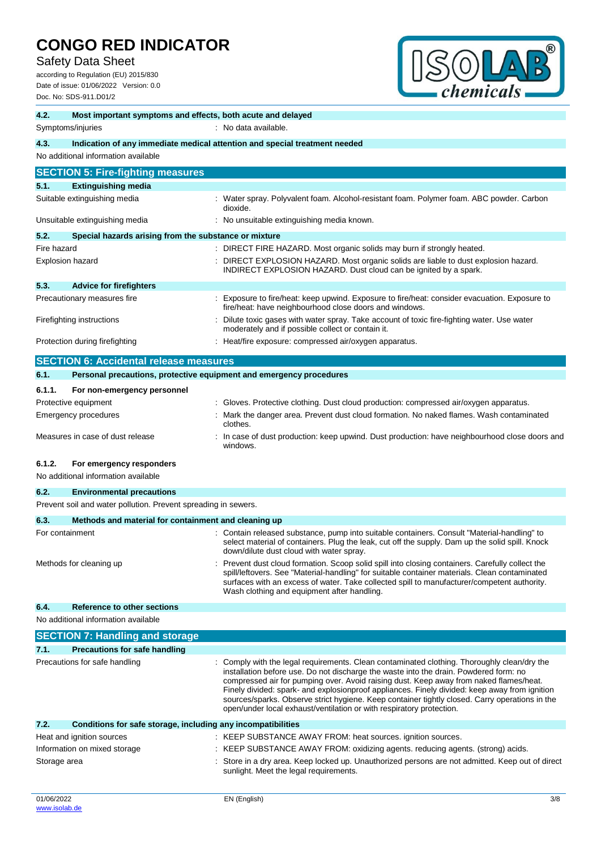Safety Data Sheet

according to Regulation (EU) 2015/830 Date of issue: 01/06/2022 Version: 0.0 Doc. No: SDS-911.D01/2



| 4.2.<br>Most important symptoms and effects, both acute and delayed                |                                                                                                                                                                                                                                                                                                                                                                                                                                                                                                                                                         |  |
|------------------------------------------------------------------------------------|---------------------------------------------------------------------------------------------------------------------------------------------------------------------------------------------------------------------------------------------------------------------------------------------------------------------------------------------------------------------------------------------------------------------------------------------------------------------------------------------------------------------------------------------------------|--|
| : No data available.<br>Symptoms/injuries                                          |                                                                                                                                                                                                                                                                                                                                                                                                                                                                                                                                                         |  |
| 4.3.<br>Indication of any immediate medical attention and special treatment needed |                                                                                                                                                                                                                                                                                                                                                                                                                                                                                                                                                         |  |
| No additional information available                                                |                                                                                                                                                                                                                                                                                                                                                                                                                                                                                                                                                         |  |
| <b>SECTION 5: Fire-fighting measures</b>                                           |                                                                                                                                                                                                                                                                                                                                                                                                                                                                                                                                                         |  |
| 5.1.<br><b>Extinguishing media</b>                                                 |                                                                                                                                                                                                                                                                                                                                                                                                                                                                                                                                                         |  |
| Suitable extinguishing media                                                       | : Water spray. Polyvalent foam. Alcohol-resistant foam. Polymer foam. ABC powder. Carbon<br>dioxide.                                                                                                                                                                                                                                                                                                                                                                                                                                                    |  |
| Unsuitable extinguishing media                                                     | : No unsuitable extinguishing media known.                                                                                                                                                                                                                                                                                                                                                                                                                                                                                                              |  |
| 5.2.<br>Special hazards arising from the substance or mixture                      |                                                                                                                                                                                                                                                                                                                                                                                                                                                                                                                                                         |  |
| Fire hazard                                                                        | : DIRECT FIRE HAZARD. Most organic solids may burn if strongly heated.                                                                                                                                                                                                                                                                                                                                                                                                                                                                                  |  |
| Explosion hazard                                                                   | DIRECT EXPLOSION HAZARD. Most organic solids are liable to dust explosion hazard.<br>INDIRECT EXPLOSION HAZARD. Dust cloud can be ignited by a spark.                                                                                                                                                                                                                                                                                                                                                                                                   |  |
| 5.3.<br><b>Advice for firefighters</b>                                             |                                                                                                                                                                                                                                                                                                                                                                                                                                                                                                                                                         |  |
| Precautionary measures fire                                                        | Exposure to fire/heat: keep upwind. Exposure to fire/heat: consider evacuation. Exposure to<br>fire/heat: have neighbourhood close doors and windows.                                                                                                                                                                                                                                                                                                                                                                                                   |  |
| Firefighting instructions                                                          | Dilute toxic gases with water spray. Take account of toxic fire-fighting water. Use water<br>moderately and if possible collect or contain it.                                                                                                                                                                                                                                                                                                                                                                                                          |  |
| Protection during firefighting                                                     | : Heat/fire exposure: compressed air/oxygen apparatus.                                                                                                                                                                                                                                                                                                                                                                                                                                                                                                  |  |
| <b>SECTION 6: Accidental release measures</b>                                      |                                                                                                                                                                                                                                                                                                                                                                                                                                                                                                                                                         |  |
| 6.1.<br>Personal precautions, protective equipment and emergency procedures        |                                                                                                                                                                                                                                                                                                                                                                                                                                                                                                                                                         |  |
| 6.1.1.<br>For non-emergency personnel                                              |                                                                                                                                                                                                                                                                                                                                                                                                                                                                                                                                                         |  |
| Protective equipment                                                               | Gloves. Protective clothing. Dust cloud production: compressed air/oxygen apparatus.                                                                                                                                                                                                                                                                                                                                                                                                                                                                    |  |
| <b>Emergency procedures</b>                                                        | Mark the danger area. Prevent dust cloud formation. No naked flames. Wash contaminated<br>clothes.                                                                                                                                                                                                                                                                                                                                                                                                                                                      |  |
| Measures in case of dust release                                                   | : In case of dust production: keep upwind. Dust production: have neighbourhood close doors and<br>windows.                                                                                                                                                                                                                                                                                                                                                                                                                                              |  |
| 6.1.2.<br>For emergency responders<br>No additional information available          |                                                                                                                                                                                                                                                                                                                                                                                                                                                                                                                                                         |  |
| 6.2.<br><b>Environmental precautions</b>                                           |                                                                                                                                                                                                                                                                                                                                                                                                                                                                                                                                                         |  |
| Prevent soil and water pollution. Prevent spreading in sewers.                     |                                                                                                                                                                                                                                                                                                                                                                                                                                                                                                                                                         |  |
| 6.3.<br>Methods and material for containment and cleaning up                       |                                                                                                                                                                                                                                                                                                                                                                                                                                                                                                                                                         |  |
| For containment                                                                    | : Contain released substance, pump into suitable containers. Consult "Material-handling" to<br>select material of containers. Plug the leak, cut off the supply. Dam up the solid spill. Knock<br>down/dilute dust cloud with water spray.                                                                                                                                                                                                                                                                                                              |  |
| Methods for cleaning up                                                            | : Prevent dust cloud formation. Scoop solid spill into closing containers. Carefully collect the<br>spill/leftovers. See "Material-handling" for suitable container materials. Clean contaminated<br>surfaces with an excess of water. Take collected spill to manufacturer/competent authority.<br>Wash clothing and equipment after handling.                                                                                                                                                                                                         |  |
| <b>Reference to other sections</b><br>6.4.                                         |                                                                                                                                                                                                                                                                                                                                                                                                                                                                                                                                                         |  |
| No additional information available                                                |                                                                                                                                                                                                                                                                                                                                                                                                                                                                                                                                                         |  |
| <b>SECTION 7: Handling and storage</b>                                             |                                                                                                                                                                                                                                                                                                                                                                                                                                                                                                                                                         |  |
| 7.1.<br><b>Precautions for safe handling</b>                                       |                                                                                                                                                                                                                                                                                                                                                                                                                                                                                                                                                         |  |
| Precautions for safe handling                                                      | Comply with the legal requirements. Clean contaminated clothing. Thoroughly clean/dry the<br>installation before use. Do not discharge the waste into the drain. Powdered form: no<br>compressed air for pumping over. Avoid raising dust. Keep away from naked flames/heat.<br>Finely divided: spark- and explosionproof appliances. Finely divided: keep away from ignition<br>sources/sparks. Observe strict hygiene. Keep container tightly closed. Carry operations in the<br>open/under local exhaust/ventilation or with respiratory protection. |  |
| 7.2.<br>Conditions for safe storage, including any incompatibilities               |                                                                                                                                                                                                                                                                                                                                                                                                                                                                                                                                                         |  |
| Heat and ignition sources                                                          | : KEEP SUBSTANCE AWAY FROM: heat sources. ignition sources.                                                                                                                                                                                                                                                                                                                                                                                                                                                                                             |  |
| Information on mixed storage                                                       | : KEEP SUBSTANCE AWAY FROM: oxidizing agents. reducing agents. (strong) acids.                                                                                                                                                                                                                                                                                                                                                                                                                                                                          |  |
| Storage area                                                                       | Store in a dry area. Keep locked up. Unauthorized persons are not admitted. Keep out of direct<br>sunlight. Meet the legal requirements.                                                                                                                                                                                                                                                                                                                                                                                                                |  |
| 01/06/2022                                                                         | EN (English)<br>3/8                                                                                                                                                                                                                                                                                                                                                                                                                                                                                                                                     |  |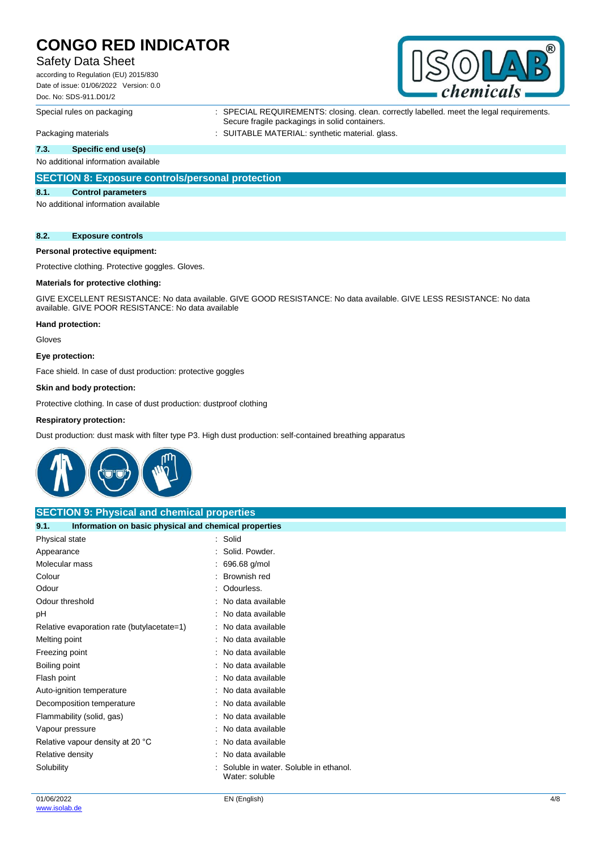## Safety Data Sheet

according to Regulation (EU) 2015/830 Date of issue: 01/06/2022 Version: 0.0 Doc. No: SDS-911.D01/2



Special rules on packaging : SPECIAL REQUIREMENTS: closing. clean. correctly labelled. meet the legal requirements. Secure fragile packagings in solid containers.

Packaging materials **in the summary of the SUITABLE MATERIAL:** synthetic material. glass.

## **7.3. Specific end use(s)**

No additional information available

## **SECTION 8: Exposure controls/personal protection**

#### **8.1. Control parameters**

No additional information available

#### **8.2. Exposure controls**

## **Personal protective equipment:**

Protective clothing. Protective goggles. Gloves.

## **Materials for protective clothing:**

GIVE EXCELLENT RESISTANCE: No data available. GIVE GOOD RESISTANCE: No data available. GIVE LESS RESISTANCE: No data available. GIVE POOR RESISTANCE: No data available

#### **Hand protection:**

Gloves

#### **Eye protection:**

Face shield. In case of dust production: protective goggles

#### **Skin and body protection:**

Protective clothing. In case of dust production: dustproof clothing

#### **Respiratory protection:**

Dust production: dust mask with filter type P3. High dust production: self-contained breathing apparatus



| <b>SECTION 9: Physical and chemical properties</b>            |                                                         |  |
|---------------------------------------------------------------|---------------------------------------------------------|--|
| Information on basic physical and chemical properties<br>9.1. |                                                         |  |
| Physical state                                                | : Solid                                                 |  |
| Appearance                                                    | : Solid. Powder.                                        |  |
| Molecular mass                                                | 696.68 g/mol                                            |  |
| Colour                                                        | Brownish red                                            |  |
| Odour                                                         | : Odourless.                                            |  |
| Odour threshold                                               | No data available                                       |  |
| рH                                                            | No data available                                       |  |
| Relative evaporation rate (butylacetate=1)                    | : No data available                                     |  |
| Melting point                                                 | : No data available                                     |  |
| Freezing point                                                | No data available                                       |  |
| Boiling point                                                 | : No data available                                     |  |
| Flash point                                                   | No data available                                       |  |
| Auto-ignition temperature                                     | : No data available                                     |  |
| Decomposition temperature                                     | : No data available                                     |  |
| Flammability (solid, gas)                                     | No data available                                       |  |
| Vapour pressure                                               | : No data available                                     |  |
| Relative vapour density at 20 °C                              | No data available                                       |  |
| Relative density                                              | No data available                                       |  |
| Solubility                                                    | Soluble in water. Soluble in ethanol.<br>Water: soluble |  |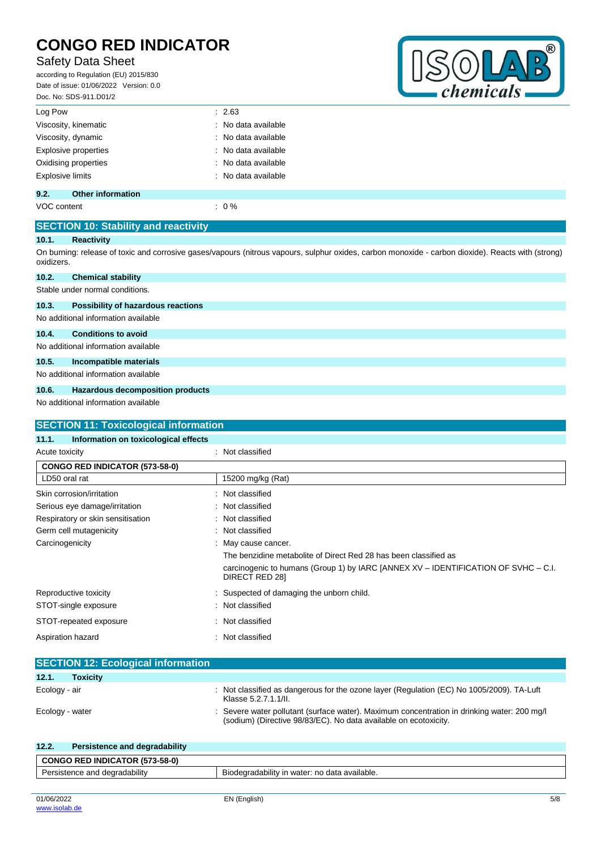## Safety Data Sheet

according to Regulation (EU) 2015/830 Date of issue: 01/06/2022 Version: 0.0 Doc. No: SDS-911.D01/2



| Log Pow                     | : 2.63              |
|-----------------------------|---------------------|
| Viscosity, kinematic        | : No data available |
| Viscosity, dynamic          | : No data available |
| <b>Explosive properties</b> | : No data available |
| Oxidising properties        | : No data available |
| <b>Explosive limits</b>     | : No data available |
|                             |                     |

## **9.2. Other information**

VOC content  $\qquad \qquad : 0\%$ 

## **SECTION 10: Stability and reactivity**

#### **10.1. Reactivity**

On burning: release of toxic and corrosive gases/vapours (nitrous vapours, sulphur oxides, carbon monoxide - carbon dioxide). Reacts with (strong) oxidizers.

| 10.2. | <b>Chemical stability</b>       |  |
|-------|---------------------------------|--|
|       | Stable under normal conditions. |  |

## **10.3. Possibility of hazardous reactions**

No additional information available

## **10.4. Conditions to avoid**

#### No additional information available

## **10.5. Incompatible materials**

No additional information available

## **10.6. Hazardous decomposition products**

No additional information available

|                                   | Information on toxicological effects                                                                 |
|-----------------------------------|------------------------------------------------------------------------------------------------------|
| Acute toxicity                    | : Not classified                                                                                     |
| CONGO RED INDICATOR (573-58-0)    |                                                                                                      |
| LD50 oral rat                     | 15200 mg/kg (Rat)                                                                                    |
| Skin corrosion/irritation         | : Not classified                                                                                     |
| Serious eye damage/irritation     | : Not classified                                                                                     |
| Respiratory or skin sensitisation | : Not classified                                                                                     |
| Germ cell mutagenicity            | : Not classified                                                                                     |
| Carcinogenicity                   | : May cause cancer.                                                                                  |
|                                   | The benzidine metabolite of Direct Red 28 has been classified as                                     |
|                                   | carcinogenic to humans (Group 1) by IARC [ANNEX XV – IDENTIFICATION OF SVHC – C.I.<br>DIRECT RED 281 |
| Reproductive toxicity             | : Suspected of damaging the unborn child.                                                            |
| STOT-single exposure              | : Not classified                                                                                     |
| STOT-repeated exposure            | : Not classified                                                                                     |
| Aspiration hazard                 | : Not classified                                                                                     |

| 12.1.           | <b>Toxicity</b> |                                                                                                                                                               |
|-----------------|-----------------|---------------------------------------------------------------------------------------------------------------------------------------------------------------|
| Ecology - air   |                 | : Not classified as dangerous for the ozone layer (Regulation (EC) No 1005/2009). TA-Luft<br>Klasse 5.2.7.1.1/II.                                             |
| Ecology - water |                 | Severe water pollutant (surface water). Maximum concentration in drinking water: 200 mg/l<br>(sodium) (Directive 98/83/EC). No data available on ecotoxicity. |

| 12.2.                         | Persistence and degradability         |                                               |
|-------------------------------|---------------------------------------|-----------------------------------------------|
|                               | <b>CONGO RED INDICATOR (573-58-0)</b> |                                               |
| Persistence and degradability |                                       | Biodegradability in water: no data available. |
|                               |                                       |                                               |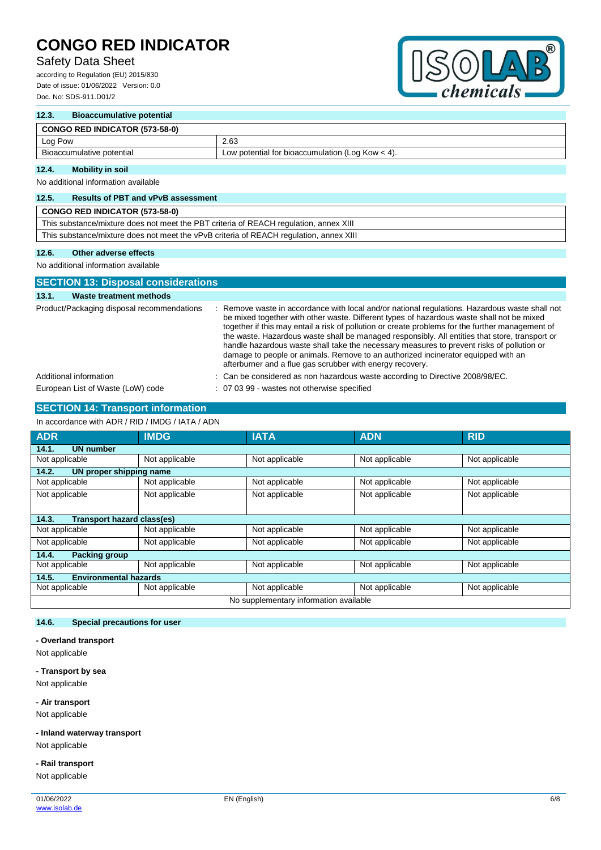## Safety Data Sheet

according to Regulation (EU) 2015/830 Date of issue: 01/06/2022 Version: 0.0 Doc. No: SDS-911.D01/2



## **12.3. Bioaccumulative potential CONGO RED INDICATOR (573-58-0)** Log Pow 2.63 Bioaccumulative potential Low potential Low potential for bioaccumulation (Log Kow < 4).

## **12.4. Mobility in soil**

No additional information available

## **12.5. Results of PBT and vPvB assessment**

| <b>CONGO RED INDICATOR (573-58-0)</b>                                                  |  |
|----------------------------------------------------------------------------------------|--|
| This substance/mixture does not meet the PBT criteria of REACH regulation, annex XIII  |  |
| This substance/mixture does not meet the vPvB criteria of REACH regulation, annex XIII |  |
|                                                                                        |  |

## **12.6. Other adverse effects**

No additional information available

| <b>SECTION 13: Disposal considerations</b> |                                                                                                                                                                                                                                                                                                                                                                                                                                                                                                                                                                                                                                                  |  |  |  |
|--------------------------------------------|--------------------------------------------------------------------------------------------------------------------------------------------------------------------------------------------------------------------------------------------------------------------------------------------------------------------------------------------------------------------------------------------------------------------------------------------------------------------------------------------------------------------------------------------------------------------------------------------------------------------------------------------------|--|--|--|
| Waste treatment methods<br>13.1.           |                                                                                                                                                                                                                                                                                                                                                                                                                                                                                                                                                                                                                                                  |  |  |  |
| Product/Packaging disposal recommendations | : Remove waste in accordance with local and/or national regulations. Hazardous waste shall not<br>be mixed together with other waste. Different types of hazardous waste shall not be mixed<br>together if this may entail a risk of pollution or create problems for the further management of<br>the waste. Hazardous waste shall be managed responsibly. All entities that store, transport or<br>handle hazardous waste shall take the necessary measures to prevent risks of pollution or<br>damage to people or animals. Remove to an authorized incinerator equipped with an<br>afterburner and a flue gas scrubber with energy recovery. |  |  |  |
| Additional information                     | : Can be considered as non hazardous waste according to Directive 2008/98/EC.                                                                                                                                                                                                                                                                                                                                                                                                                                                                                                                                                                    |  |  |  |
| European List of Waste (LoW) code          | : 07 03 99 - wastes not otherwise specified                                                                                                                                                                                                                                                                                                                                                                                                                                                                                                                                                                                                      |  |  |  |

## **SECTION 14: Transport information**

## In accordance with ADR / RID / IMDG / IATA / ADN

| <b>ADR</b>                            | <b>IMDG</b>    | <b>IATA</b>                            | <b>ADN</b>     | <b>RID</b>     |  |
|---------------------------------------|----------------|----------------------------------------|----------------|----------------|--|
| <b>UN number</b><br>14.1.             |                |                                        |                |                |  |
| Not applicable                        | Not applicable | Not applicable                         | Not applicable | Not applicable |  |
| 14.2.<br>UN proper shipping name      |                |                                        |                |                |  |
| Not applicable                        | Not applicable | Not applicable                         | Not applicable | Not applicable |  |
| Not applicable                        | Not applicable | Not applicable                         | Not applicable | Not applicable |  |
|                                       |                |                                        |                |                |  |
| Transport hazard class(es)<br>14.3.   |                |                                        |                |                |  |
| Not applicable                        | Not applicable | Not applicable                         | Not applicable | Not applicable |  |
| Not applicable                        | Not applicable | Not applicable                         | Not applicable | Not applicable |  |
| <b>Packing group</b><br>14.4.         |                |                                        |                |                |  |
| Not applicable                        | Not applicable | Not applicable                         | Not applicable | Not applicable |  |
| <b>Environmental hazards</b><br>14.5. |                |                                        |                |                |  |
| Not applicable                        | Not applicable | Not applicable                         | Not applicable | Not applicable |  |
|                                       |                | No supplementary information available |                |                |  |

## **14.6. Special precautions for user**

#### **- Overland transport**

Not applicable

**- Transport by sea** Not applicable

#### **- Air transport**

Not applicable

# **- Inland waterway transport**

Not applicable

## **- Rail transport**

Not applicable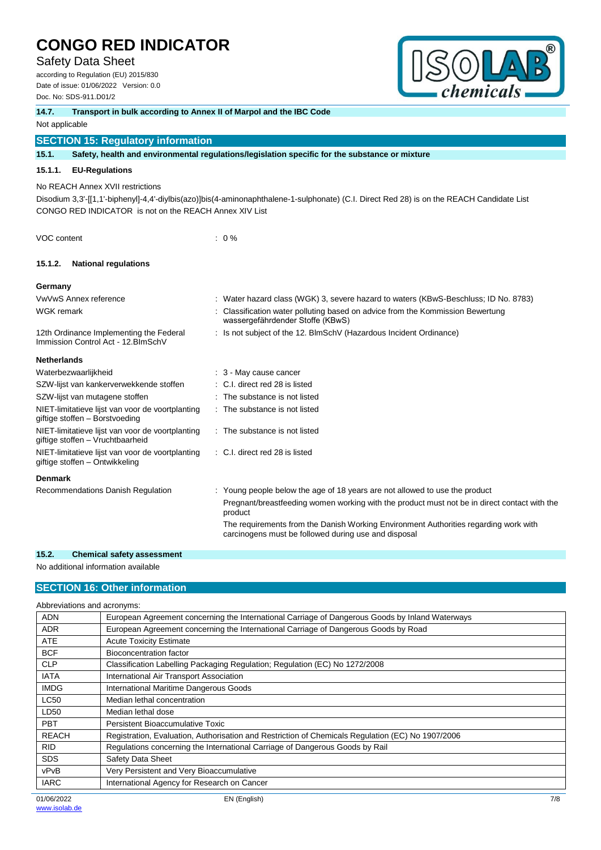## Safety Data Sheet

according to Regulation (EU) 2015/830 Date of issue: 01/06/2022 Version: 0.0 Doc. No: SDS-911.D01/2



# **14.7. Transport in bulk according to Annex II of Marpol and the IBC Code**

#### Not applicable

## **SECTION 15: Regulatory information**

## **15.1. Safety, health and environmental regulations/legislation specific for the substance or mixture**

#### **15.1.1. EU-Regulations**

No REACH Annex XVII restrictions

Disodium 3,3'-[[1,1'-biphenyl]-4,4'-diylbis(azo)]bis(4-aminonaphthalene-1-sulphonate) (C.I. Direct Red 28) is on the REACH Candidate List CONGO RED INDICATOR is not on the REACH Annex XIV List

VOC content : 0 %

## **15.1.2. National regulations**

#### **Germany**

| VwVwS Annex reference                                                                | : Water hazard class (WGK) 3, severe hazard to waters (KBwS-Beschluss; ID No. 8783)                                |
|--------------------------------------------------------------------------------------|--------------------------------------------------------------------------------------------------------------------|
| <b>WGK</b> remark                                                                    | : Classification water polluting based on advice from the Kommission Bewertung<br>wassergefährdender Stoffe (KBwS) |
| 12th Ordinance Implementing the Federal<br>Immission Control Act - 12. BlmSchV       | : Is not subject of the 12. BlmSchV (Hazardous Incident Ordinance)                                                 |
| <b>Netherlands</b>                                                                   |                                                                                                                    |
| Waterbezwaarlijkheid                                                                 | $\therefore$ 3 - May cause cancer                                                                                  |
| SZW-lijst van kankerverwekkende stoffen                                              | : C.I. direct red 28 is listed                                                                                     |
| SZW-lijst van mutagene stoffen                                                       | : The substance is not listed                                                                                      |
| NIET-limitatieve lijst van voor de voortplanting<br>giftige stoffen - Borstvoeding   | : The substance is not listed                                                                                      |
| NIET-limitatieve lijst van voor de voortplanting<br>giftige stoffen - Vruchtbaarheid | : The substance is not listed                                                                                      |
| NIET-limitatieve lijst van voor de voortplanting<br>giftige stoffen - Ontwikkeling   | : C.I. direct red 28 is listed                                                                                     |
| <b>Denmark</b>                                                                       |                                                                                                                    |
| Recommendations Danish Regulation                                                    | : Young people below the age of 18 years are not allowed to use the product                                        |
|                                                                                      | Pregnant/breastfeeding women working with the product must not be in direct contact with the<br>product            |

The requirements from the Danish Working Environment Authorities regarding work with carcinogens must be followed during use and disposal

## **15.2. Chemical safety assessment**

No additional information available

## **SECTION 16: Other information**

| Abbreviations and acronyms: |                                                                                                   |
|-----------------------------|---------------------------------------------------------------------------------------------------|
| <b>ADN</b>                  | European Agreement concerning the International Carriage of Dangerous Goods by Inland Waterways   |
| <b>ADR</b>                  | European Agreement concerning the International Carriage of Dangerous Goods by Road               |
| <b>ATE</b>                  | <b>Acute Toxicity Estimate</b>                                                                    |
| <b>BCF</b>                  | Bioconcentration factor                                                                           |
| <b>CLP</b>                  | Classification Labelling Packaging Regulation; Regulation (EC) No 1272/2008                       |
| <b>IATA</b>                 | International Air Transport Association                                                           |
| <b>IMDG</b>                 | International Maritime Dangerous Goods                                                            |
| <b>LC50</b>                 | Median lethal concentration                                                                       |
| LD50                        | Median lethal dose                                                                                |
| <b>PBT</b>                  | Persistent Bioaccumulative Toxic                                                                  |
| <b>REACH</b>                | Registration, Evaluation, Authorisation and Restriction of Chemicals Regulation (EC) No 1907/2006 |
| <b>RID</b>                  | Regulations concerning the International Carriage of Dangerous Goods by Rail                      |
| <b>SDS</b>                  | Safety Data Sheet                                                                                 |
| vPvB                        | Very Persistent and Very Bioaccumulative                                                          |
| <b>IARC</b>                 | International Agency for Research on Cancer                                                       |